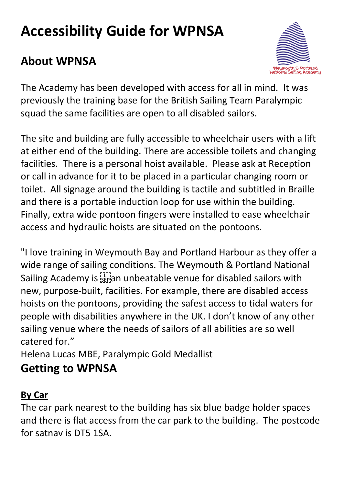# **Accessibility Guide for WPNSA**

# **About WPNSA**



The Academy has been developed with access for all in mind. It was previously the training base for the British Sailing Team Paralympic squad the same facilities are open to all disabled sailors.

The site and building are fully accessible to wheelchair users with a lift at either end of the building. There are accessible toilets and changing facilities. There is a personal hoist available. Please ask at Reception or call in advance for it to be placed in a particular changing room or toilet. All signage around the building is tactile and subtitled in Braille and there is a portable induction loop for use within the building. Finally, extra wide pontoon fingers were installed to ease wheelchair access and hydraulic hoists are situated on the pontoons.

"I love training in Weymouth Bay and Portland Harbour as they offer a wide range of sailing conditions. The Weymouth & Portland National Sailing Academy is **SEPS** an unbeatable venue for disabled sailors with new, purpose-built, facilities. For example, there are disabled access hoists on the pontoons, providing the safest access to tidal waters for people with disabilities anywhere in the UK. I don't know of any other sailing venue where the needs of sailors of all abilities are so well catered for."

Helena Lucas MBE, Paralympic Gold Medallist

### **Getting to WPNSA**

### **By Car**

The car park nearest to the building has six blue badge holder spaces and there is flat access from the car park to the building. The postcode for satnav is DT5 1SA.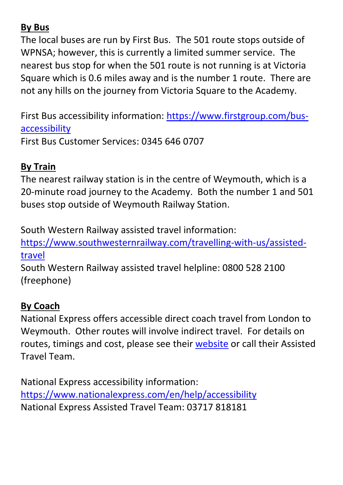#### **By Bus**

The local buses are run by First Bus. The 501 route stops outside of WPNSA; however, this is currently a limited summer service. The nearest bus stop for when the 501 route is not running is at Victoria Square which is 0.6 miles away and is the number 1 route. There are not any hills on the journey from Victoria Square to the Academy.

First Bus accessibility information: [https://www.firstgroup.com/bus](https://www.firstgroup.com/bus-accessibility)[accessibility](https://www.firstgroup.com/bus-accessibility) First Bus Customer Services: 0345 646 0707

**By Train**

The nearest railway station is in the centre of Weymouth, which is a 20-minute road journey to the Academy. Both the number 1 and 501 buses stop outside of Weymouth Railway Station.

South Western Railway assisted travel information:

[https://www.southwesternrailway.com/travelling-with-us/assisted](https://www.southwesternrailway.com/travelling-with-us/assisted-travel)[travel](https://www.southwesternrailway.com/travelling-with-us/assisted-travel)

South Western Railway assisted travel helpline: 0800 528 2100 (freephone)

#### **By Coach**

National Express offers accessible direct coach travel from London to Weymouth. Other routes will involve indirect travel. For details on routes, timings and cost, please see their [website](https://www.nationalexpress.com/en) or call their Assisted Travel Team.

National Express accessibility information: <https://www.nationalexpress.com/en/help/accessibility> National Express Assisted Travel Team: 03717 818181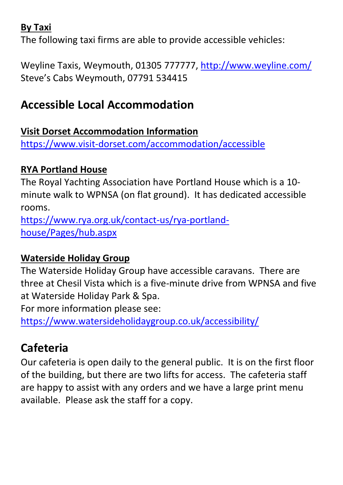#### **By Taxi**

The following taxi firms are able to provide accessible vehicles:

Weyline Taxis, Weymouth, 01305 777777,<http://www.weyline.com/> Steve's Cabs Weymouth, 07791 534415

# **Accessible Local Accommodation**

#### **Visit Dorset Accommodation Information**

<https://www.visit-dorset.com/accommodation/accessible>

#### **RYA Portland House**

The Royal Yachting Association have Portland House which is a 10 minute walk to WPNSA (on flat ground). It has dedicated accessible rooms.

[https://www.rya.org.uk/contact-us/rya-portland](https://www.rya.org.uk/contact-us/rya-portland-house/Pages/hub.aspx)[house/Pages/hub.aspx](https://www.rya.org.uk/contact-us/rya-portland-house/Pages/hub.aspx)

#### **Waterside Holiday Group**

The Waterside Holiday Group have accessible caravans. There are three at Chesil Vista which is a five-minute drive from WPNSA and five at Waterside Holiday Park & Spa.

For more information please see:

<https://www.watersideholidaygroup.co.uk/accessibility/>

# **Cafeteria**

Our cafeteria is open daily to the general public. It is on the first floor of the building, but there are two lifts for access. The cafeteria staff are happy to assist with any orders and we have a large print menu available. Please ask the staff for a copy.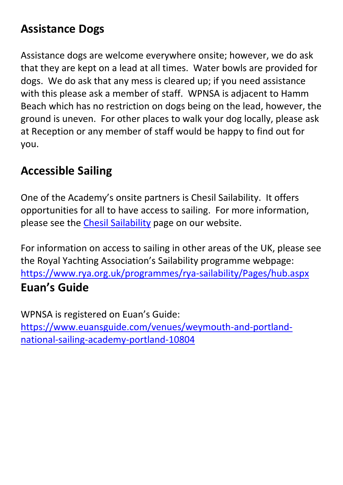### **Assistance Dogs**

Assistance dogs are welcome everywhere onsite; however, we do ask that they are kept on a lead at all times. Water bowls are provided for dogs. We do ask that any mess is cleared up; if you need assistance with this please ask a member of staff. WPNSA is adjacent to Hamm Beach which has no restriction on dogs being on the lead, however, the ground is uneven. For other places to walk your dog locally, please ask at Reception or any member of staff would be happy to find out for you.

### **Accessible Sailing**

One of the Academy's onsite partners is Chesil Sailability. It offers opportunities for all to have access to sailing. For more information, please see the Chesil [Sailability](https://www.wpnsa.org.uk/chesil-sailability) page on our website.

For information on access to sailing in other areas of the UK, please see the Royal Yachting Association's Sailability programme webpage: <https://www.rya.org.uk/programmes/rya-sailability/Pages/hub.aspx> **Euan's Guide**

WPNSA is registered on Euan's Guide: [https://www.euansguide.com/venues/weymouth-and-portland](https://www.euansguide.com/venues/weymouth-and-portland-national-sailing-academy-portland-10804)[national-sailing-academy-portland-10804](https://www.euansguide.com/venues/weymouth-and-portland-national-sailing-academy-portland-10804)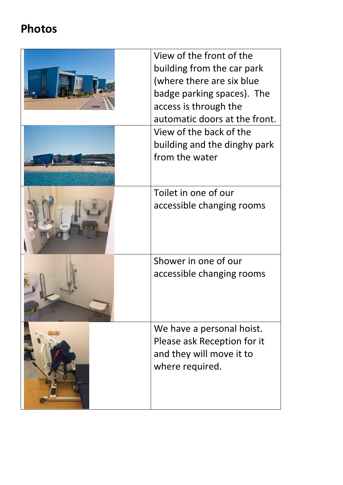# **Photos**

| View of the front of the<br>building from the car park<br>(where there are six blue<br>badge parking spaces). The<br>access is through the<br>automatic doors at the front. |
|-----------------------------------------------------------------------------------------------------------------------------------------------------------------------------|
| View of the back of the<br>building and the dinghy park<br>from the water                                                                                                   |
| Toilet in one of our<br>accessible changing rooms                                                                                                                           |
| Shower in one of our<br>accessible changing rooms                                                                                                                           |
| We have a personal hoist.<br>Please ask Reception for it<br>and they will move it to<br>where required.                                                                     |